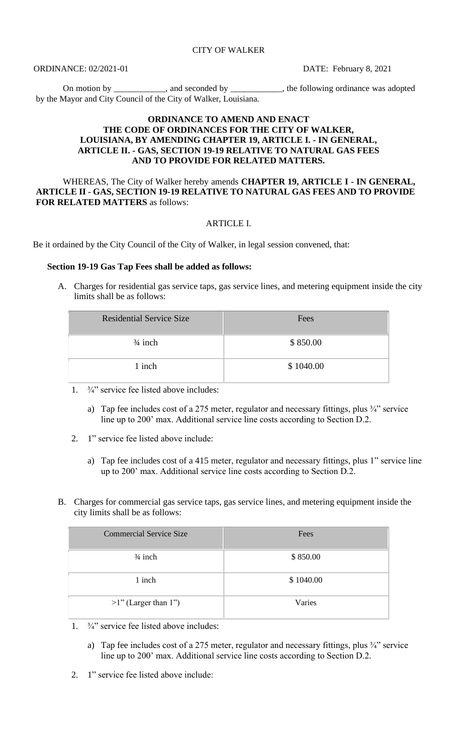ORDINANCE: 02/2021-01 DATE: February 8, 2021

On motion by \_\_\_\_\_\_\_\_\_\_, and seconded by \_\_\_\_\_\_\_\_\_\_, the following ordinance was adopted by the Mayor and City Council of the City of Walker, Louisiana.

## **ORDINANCE TO AMEND AND ENACT THE CODE OF ORDINANCES FOR THE CITY OF WALKER, LOUISIANA, BY AMENDING CHAPTER 19, ARTICLE I. - IN GENERAL, ARTICLE II. - GAS, SECTION 19-19 RELATIVE TO NATURAL GAS FEES AND TO PROVIDE FOR RELATED MATTERS.**

WHEREAS, The City of Walker hereby amends **CHAPTER 19, ARTICLE I - IN GENERAL, ARTICLE II - GAS, SECTION 19-19 RELATIVE TO NATURAL GAS FEES AND TO PROVIDE FOR RELATED MATTERS** as follows:

## ARTICLE I.

Be it ordained by the City Council of the City of Walker, in legal session convened, that:

## **Section 19-19 Gas Tap Fees shall be added as follows:**

A. Charges for residential gas service taps, gas service lines, and metering equipment inside the city limits shall be as follows:

| <b>Residential Service Size</b> | Fees      |
|---------------------------------|-----------|
| $\frac{3}{4}$ inch              | \$850.00  |
| 1 inch                          | \$1040.00 |

- 1. ¾" service fee listed above includes:
	- a) Tap fee includes cost of a 275 meter, regulator and necessary fittings, plus  $\frac{3}{4}$  service line up to 200' max. Additional service line costs according to Section D.2.
- 2. 1" service fee listed above include:
	- a) Tap fee includes cost of a 415 meter, regulator and necessary fittings, plus 1" service line up to 200' max. Additional service line costs according to Section D.2.
- B. Charges for commercial gas service taps, gas service lines, and metering equipment inside the city limits shall be as follows:

| <b>Commercial Service Size</b> | Fees      |
|--------------------------------|-----------|
| $\frac{3}{4}$ inch             | \$850.00  |
| 1 inch                         | \$1040.00 |
| $>1$ " (Larger than 1")        | Varies    |

- 1. ¾" service fee listed above includes:
	- a) Tap fee includes cost of a 275 meter, regulator and necessary fittings, plus  $\frac{3}{4}$ " service line up to 200' max. Additional service line costs according to Section D.2.
- 2. 1" service fee listed above include: